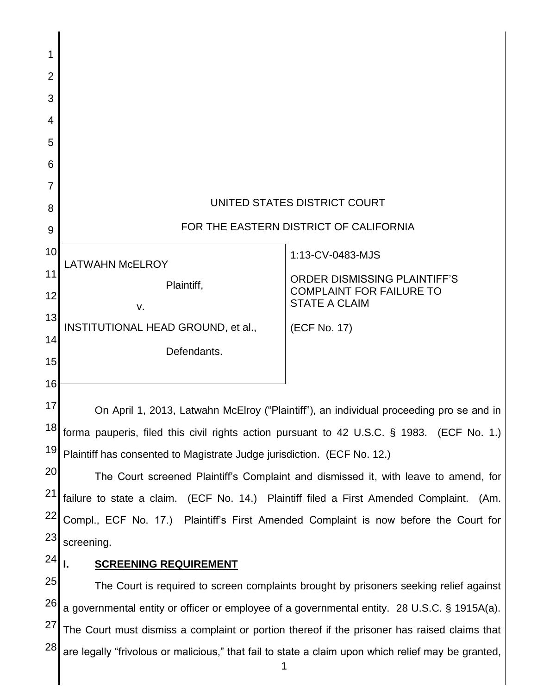| 1               |                                                                                                    |                                                         |
|-----------------|----------------------------------------------------------------------------------------------------|---------------------------------------------------------|
| $\overline{2}$  |                                                                                                    |                                                         |
| 3               |                                                                                                    |                                                         |
| 4               |                                                                                                    |                                                         |
| 5               |                                                                                                    |                                                         |
| 6               |                                                                                                    |                                                         |
| 7               |                                                                                                    |                                                         |
| 8               | UNITED STATES DISTRICT COURT                                                                       |                                                         |
| 9               | FOR THE EASTERN DISTRICT OF CALIFORNIA                                                             |                                                         |
| 10 <sup>1</sup> | <b>LATWAHN McELROY</b>                                                                             | 1:13-CV-0483-MJS                                        |
| 11              | Plaintiff,                                                                                         | <b>ORDER DISMISSING PLAINTIFF'S</b>                     |
| 12              | V.                                                                                                 | <b>COMPLAINT FOR FAILURE TO</b><br><b>STATE A CLAIM</b> |
| 13              | INSTITUTIONAL HEAD GROUND, et al.,                                                                 | (ECF No. 17)                                            |
| 14              | Defendants.                                                                                        |                                                         |
| 15              |                                                                                                    |                                                         |
| 16              |                                                                                                    |                                                         |
| 17              | On April 1, 2013, Latwahn McElroy ("Plaintiff"), an individual proceeding pro se and in            |                                                         |
|                 | $18$ forma pauperis, filed this civil rights action pursuant to 42 U.S.C. § 1983. (ECF No. 1.)     |                                                         |
| 19              | Plaintiff has consented to Magistrate Judge jurisdiction. (ECF No. 12.)                            |                                                         |
| 20              | The Court screened Plaintiff's Complaint and dismissed it, with leave to amend, for                |                                                         |
| 21              | failure to state a claim. (ECF No. 14.) Plaintiff filed a First Amended Complaint.<br>(Am.         |                                                         |
| 22              | Compl., ECF No. 17.) Plaintiff's First Amended Complaint is now before the Court for               |                                                         |
| 23              | screening.                                                                                         |                                                         |
| 24              | <b>SCREENING REQUIREMENT</b>                                                                       |                                                         |
| 25              | The Court is required to screen complaints brought by prisoners seeking relief against             |                                                         |
| 26              | a governmental entity or officer or employee of a governmental entity. 28 U.S.C. § 1915A(a).       |                                                         |
| 27              | The Court must dismiss a complaint or portion thereof if the prisoner has raised claims that       |                                                         |
| 28              | are legally "frivolous or malicious," that fail to state a claim upon which relief may be granted, |                                                         |

 $\parallel$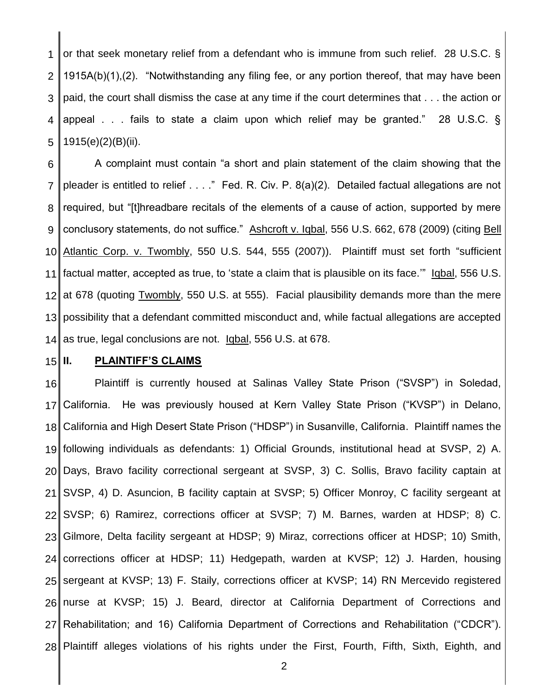1 2 3 4 5 or that seek monetary relief from a defendant who is immune from such relief. 28 U.S.C. § 1915A(b)(1),(2). "Notwithstanding any filing fee, or any portion thereof, that may have been paid, the court shall dismiss the case at any time if the court determines that . . . the action or appeal . . . fails to state a claim upon which relief may be granted." 28 U.S.C. § 1915(e)(2)(B)(ii).

6 7 8 9 10 11 12 13 14 A complaint must contain "a short and plain statement of the claim showing that the pleader is entitled to relief . . . ." Fed. R. Civ. P. 8(a)(2). Detailed factual allegations are not required, but "[t]hreadbare recitals of the elements of a cause of action, supported by mere conclusory statements, do not suffice." Ashcroft v. Iqbal, 556 U.S. 662, 678 (2009) (citing Bell Atlantic Corp. v. Twombly, 550 U.S. 544, 555 (2007)). Plaintiff must set forth "sufficient factual matter, accepted as true, to 'state a claim that is plausible on its face.'" Iqbal, 556 U.S. at 678 (quoting Twombly, 550 U.S. at 555). Facial plausibility demands more than the mere possibility that a defendant committed misconduct and, while factual allegations are accepted as true, legal conclusions are not. Iqbal, 556 U.S. at 678.

# 15

#### **II. PLAINTIFF'S CLAIMS**

16 17 18 19 20 21 22 23 24 25 26 27 28 Plaintiff is currently housed at Salinas Valley State Prison ("SVSP") in Soledad, California. He was previously housed at Kern Valley State Prison ("KVSP") in Delano, California and High Desert State Prison ("HDSP") in Susanville, California. Plaintiff names the following individuals as defendants: 1) Official Grounds, institutional head at SVSP, 2) A. Days, Bravo facility correctional sergeant at SVSP, 3) C. Sollis, Bravo facility captain at SVSP, 4) D. Asuncion, B facility captain at SVSP; 5) Officer Monroy, C facility sergeant at SVSP; 6) Ramirez, corrections officer at SVSP; 7) M. Barnes, warden at HDSP; 8) C. Gilmore, Delta facility sergeant at HDSP; 9) Miraz, corrections officer at HDSP; 10) Smith, corrections officer at HDSP; 11) Hedgepath, warden at KVSP; 12) J. Harden, housing sergeant at KVSP; 13) F. Staily, corrections officer at KVSP; 14) RN Mercevido registered nurse at KVSP; 15) J. Beard, director at California Department of Corrections and Rehabilitation; and 16) California Department of Corrections and Rehabilitation ("CDCR"). Plaintiff alleges violations of his rights under the First, Fourth, Fifth, Sixth, Eighth, and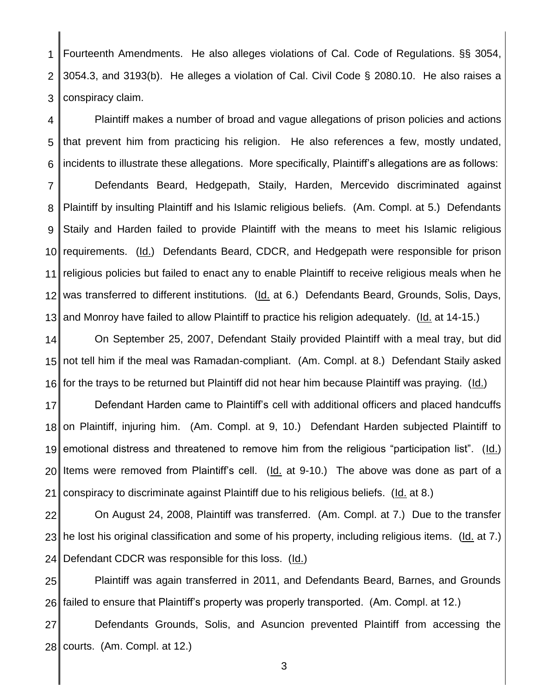1 2 3 Fourteenth Amendments. He also alleges violations of Cal. Code of Regulations. §§ 3054, 3054.3, and 3193(b). He alleges a violation of Cal. Civil Code § 2080.10. He also raises a conspiracy claim.

4 5 6 7 8 9 10 11 12 13 Plaintiff makes a number of broad and vague allegations of prison policies and actions that prevent him from practicing his religion. He also references a few, mostly undated, incidents to illustrate these allegations. More specifically, Plaintiff's allegations are as follows: Defendants Beard, Hedgepath, Staily, Harden, Mercevido discriminated against Plaintiff by insulting Plaintiff and his Islamic religious beliefs. (Am. Compl. at 5.) Defendants Staily and Harden failed to provide Plaintiff with the means to meet his Islamic religious requirements. (Id.) Defendants Beard, CDCR, and Hedgepath were responsible for prison religious policies but failed to enact any to enable Plaintiff to receive religious meals when he was transferred to different institutions. (Id. at 6.) Defendants Beard, Grounds, Solis, Days, and Monroy have failed to allow Plaintiff to practice his religion adequately. (Id. at 14-15.)

14 15 16 On September 25, 2007, Defendant Staily provided Plaintiff with a meal tray, but did not tell him if the meal was Ramadan-compliant. (Am. Compl. at 8.) Defendant Staily asked for the trays to be returned but Plaintiff did not hear him because Plaintiff was praying. (Id.)

17 18 19 20 21 Defendant Harden came to Plaintiff's cell with additional officers and placed handcuffs on Plaintiff, injuring him. (Am. Compl. at 9, 10.) Defendant Harden subjected Plaintiff to emotional distress and threatened to remove him from the religious "participation list". (Id.) Items were removed from Plaintiff's cell. (Id. at 9-10.) The above was done as part of a conspiracy to discriminate against Plaintiff due to his religious beliefs. (Id. at 8.)

22 23 24 On August 24, 2008, Plaintiff was transferred. (Am. Compl. at 7.) Due to the transfer he lost his original classification and some of his property, including religious items. (Id. at 7.) Defendant CDCR was responsible for this loss. (Id.)

25 26 Plaintiff was again transferred in 2011, and Defendants Beard, Barnes, and Grounds failed to ensure that Plaintiff's property was properly transported. (Am. Compl. at 12.)

27 28 Defendants Grounds, Solis, and Asuncion prevented Plaintiff from accessing the courts. (Am. Compl. at 12.)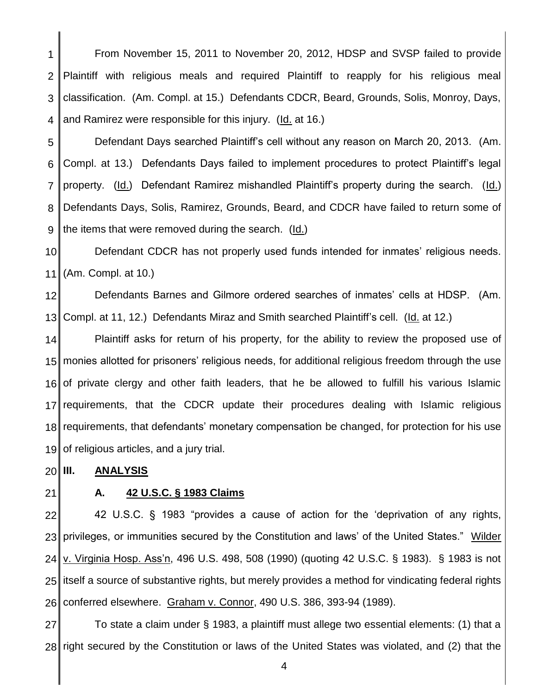1 2 3 4 From November 15, 2011 to November 20, 2012, HDSP and SVSP failed to provide Plaintiff with religious meals and required Plaintiff to reapply for his religious meal classification. (Am. Compl. at 15.) Defendants CDCR, Beard, Grounds, Solis, Monroy, Days, and Ramirez were responsible for this injury. (Id. at 16.)

5 6 7 8 9 Defendant Days searched Plaintiff's cell without any reason on March 20, 2013. (Am. Compl. at 13.) Defendants Days failed to implement procedures to protect Plaintiff's legal property. (Id.) Defendant Ramirez mishandled Plaintiff's property during the search. (Id.) Defendants Days, Solis, Ramirez, Grounds, Beard, and CDCR have failed to return some of the items that were removed during the search. (Id.)

10 11 Defendant CDCR has not properly used funds intended for inmates' religious needs. (Am. Compl. at 10.)

12 13 Defendants Barnes and Gilmore ordered searches of inmates' cells at HDSP. (Am. Compl. at 11, 12.) Defendants Miraz and Smith searched Plaintiff's cell. (Id. at 12.)

14 15 16 17 18 19 Plaintiff asks for return of his property, for the ability to review the proposed use of monies allotted for prisoners' religious needs, for additional religious freedom through the use of private clergy and other faith leaders, that he be allowed to fulfill his various Islamic requirements, that the CDCR update their procedures dealing with Islamic religious requirements, that defendants' monetary compensation be changed, for protection for his use of religious articles, and a jury trial.

#### 20 **III. ANALYSIS**

21

### **A. 42 U.S.C. § 1983 Claims**

22 23 24 25 26 42 U.S.C. § 1983 "provides a cause of action for the 'deprivation of any rights, privileges, or immunities secured by the Constitution and laws' of the United States." Wilder v. Virginia Hosp. Ass'n, 496 U.S. 498, 508 (1990) (quoting 42 U.S.C. § 1983). § 1983 is not itself a source of substantive rights, but merely provides a method for vindicating federal rights conferred elsewhere. Graham v. Connor, 490 U.S. 386, 393-94 (1989).

27 28 To state a claim under § 1983, a plaintiff must allege two essential elements: (1) that a right secured by the Constitution or laws of the United States was violated, and (2) that the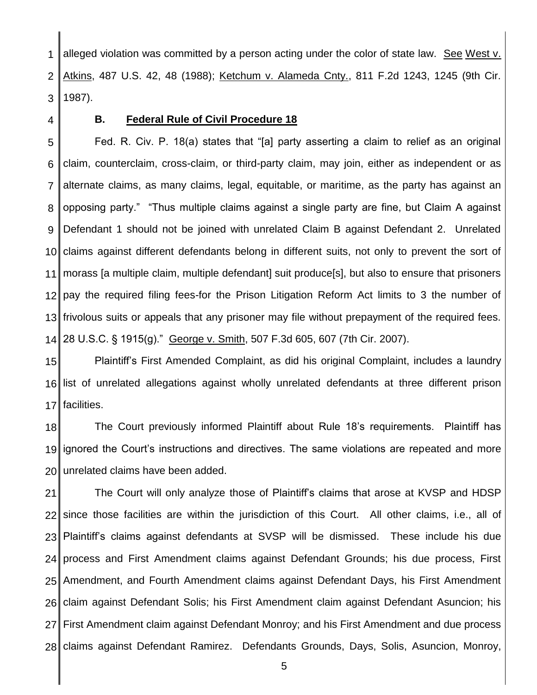1 2 3 alleged violation was committed by a person acting under the color of state law. See West v. Atkins, 487 U.S. 42, 48 (1988); Ketchum v. Alameda Cnty., 811 F.2d 1243, 1245 (9th Cir. 1987).

4

#### **B. Federal Rule of Civil Procedure 18**

5 6 7 8 9 10 11 12 13 14 Fed. R. Civ. P. 18(a) states that "[a] party asserting a claim to relief as an original claim, counterclaim, cross-claim, or third-party claim, may join, either as independent or as alternate claims, as many claims, legal, equitable, or maritime, as the party has against an opposing party." "Thus multiple claims against a single party are fine, but Claim A against Defendant 1 should not be joined with unrelated Claim B against Defendant 2. Unrelated claims against different defendants belong in different suits, not only to prevent the sort of morass [a multiple claim, multiple defendant] suit produce[s], but also to ensure that prisoners pay the required filing fees-for the Prison Litigation Reform Act limits to 3 the number of frivolous suits or appeals that any prisoner may file without prepayment of the required fees. 28 U.S.C. § 1915(g)." George v. Smith, 507 F.3d 605, 607 (7th Cir. 2007).

15 16 17 Plaintiff's First Amended Complaint, as did his original Complaint, includes a laundry list of unrelated allegations against wholly unrelated defendants at three different prison facilities.

18 19 20 The Court previously informed Plaintiff about Rule 18's requirements. Plaintiff has ignored the Court's instructions and directives. The same violations are repeated and more unrelated claims have been added.

21 22 23 24 25 26 27 28 The Court will only analyze those of Plaintiff's claims that arose at KVSP and HDSP since those facilities are within the jurisdiction of this Court. All other claims, i.e., all of Plaintiff's claims against defendants at SVSP will be dismissed. These include his due process and First Amendment claims against Defendant Grounds; his due process, First Amendment, and Fourth Amendment claims against Defendant Days, his First Amendment claim against Defendant Solis; his First Amendment claim against Defendant Asuncion; his First Amendment claim against Defendant Monroy; and his First Amendment and due process claims against Defendant Ramirez. Defendants Grounds, Days, Solis, Asuncion, Monroy,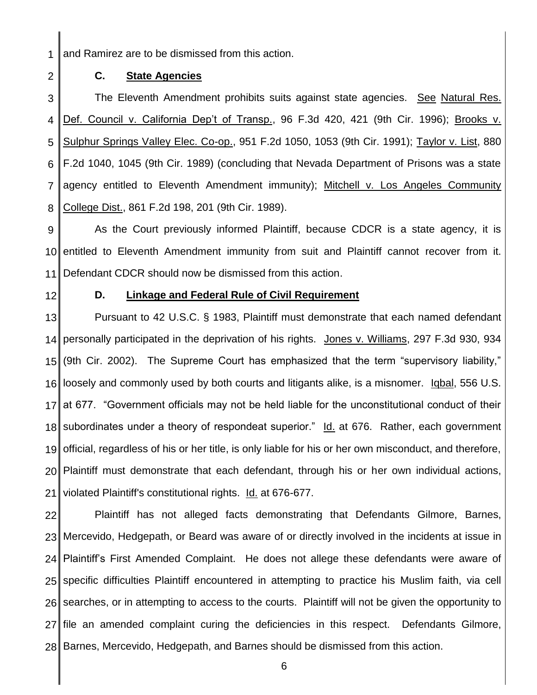1 and Ramirez are to be dismissed from this action.

2

## **C. State Agencies**

3 4 5 6 7 8 The Eleventh Amendment prohibits suits against state agencies. See Natural Res. Def. Council v. California Dep't of Transp., 96 F.3d 420, 421 (9th Cir. 1996); Brooks v. Sulphur Springs Valley Elec. Co-op., 951 F.2d 1050, 1053 (9th Cir. 1991); Taylor v. List, 880 F.2d 1040, 1045 (9th Cir. 1989) (concluding that Nevada Department of Prisons was a state agency entitled to Eleventh Amendment immunity); Mitchell v. Los Angeles Community College Dist., 861 F.2d 198, 201 (9th Cir. 1989).

9 10 11 As the Court previously informed Plaintiff, because CDCR is a state agency, it is entitled to Eleventh Amendment immunity from suit and Plaintiff cannot recover from it. Defendant CDCR should now be dismissed from this action.

12

### **D. Linkage and Federal Rule of Civil Requirement**

13 14 15 16 17 18 19 20 21 Pursuant to 42 U.S.C. § 1983, Plaintiff must demonstrate that each named defendant personally participated in the deprivation of his rights. Jones v. Williams, 297 F.3d 930, 934 (9th Cir. 2002). The Supreme Court has emphasized that the term "supervisory liability," loosely and commonly used by both courts and litigants alike, is a misnomer. Iqbal, 556 U.S. at 677. "Government officials may not be held liable for the unconstitutional conduct of their subordinates under a theory of respondeat superior." Id. at 676. Rather, each government official, regardless of his or her title, is only liable for his or her own misconduct, and therefore, Plaintiff must demonstrate that each defendant, through his or her own individual actions, violated Plaintiff's constitutional rights. Id. at 676-677.

22 23 24 25 26 27 28 Plaintiff has not alleged facts demonstrating that Defendants Gilmore, Barnes, Mercevido, Hedgepath, or Beard was aware of or directly involved in the incidents at issue in Plaintiff's First Amended Complaint. He does not allege these defendants were aware of specific difficulties Plaintiff encountered in attempting to practice his Muslim faith, via cell searches, or in attempting to access to the courts. Plaintiff will not be given the opportunity to file an amended complaint curing the deficiencies in this respect. Defendants Gilmore, Barnes, Mercevido, Hedgepath, and Barnes should be dismissed from this action.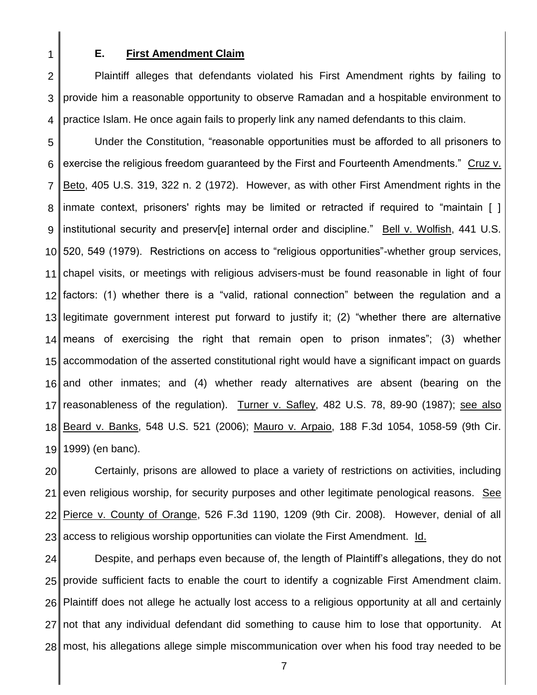1

#### **E. First Amendment Claim**

2 3 4 Plaintiff alleges that defendants violated his First Amendment rights by failing to provide him a reasonable opportunity to observe Ramadan and a hospitable environment to practice Islam. He once again fails to properly link any named defendants to this claim.

5 6 7 8 9 10 11 12 13 14 15 16 17 18 19 Under the Constitution, "reasonable opportunities must be afforded to all prisoners to exercise the religious freedom guaranteed by the First and Fourteenth Amendments." Cruz v. Beto, 405 U.S. 319, 322 n. 2 (1972). However, as with other First Amendment rights in the inmate context, prisoners' rights may be limited or retracted if required to "maintain [ ] institutional security and preserv[e] internal order and discipline." Bell v. Wolfish, 441 U.S. 520, 549 (1979). Restrictions on access to "religious opportunities"-whether group services, chapel visits, or meetings with religious advisers-must be found reasonable in light of four factors: (1) whether there is a "valid, rational connection" between the regulation and a legitimate government interest put forward to justify it; (2) "whether there are alternative means of exercising the right that remain open to prison inmates"; (3) whether accommodation of the asserted constitutional right would have a significant impact on guards and other inmates; and (4) whether ready alternatives are absent (bearing on the reasonableness of the regulation). Turner v. Safley, 482 U.S. 78, 89-90 (1987); see also Beard v. Banks, 548 U.S. 521 (2006); Mauro v. Arpaio, 188 F.3d 1054, 1058-59 (9th Cir. 1999) (en banc).

20 21 22 23 Certainly, prisons are allowed to place a variety of restrictions on activities, including even religious worship, for security purposes and other legitimate penological reasons. See Pierce v. County of Orange, 526 F.3d 1190, 1209 (9th Cir. 2008). However, denial of all access to religious worship opportunities can violate the First Amendment. Id.

24 25 26 27 28 Despite, and perhaps even because of, the length of Plaintiff's allegations, they do not provide sufficient facts to enable the court to identify a cognizable First Amendment claim. Plaintiff does not allege he actually lost access to a religious opportunity at all and certainly not that any individual defendant did something to cause him to lose that opportunity. At most, his allegations allege simple miscommunication over when his food tray needed to be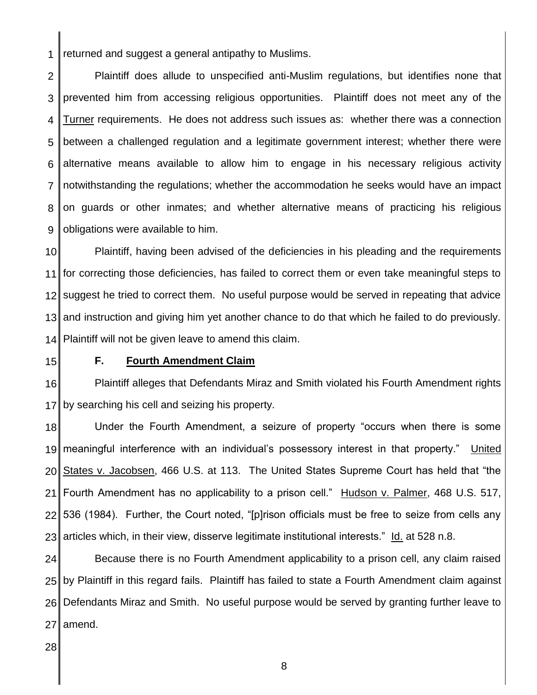1 returned and suggest a general antipathy to Muslims.

2 3 4 5 6 7 8 9 Plaintiff does allude to unspecified anti-Muslim regulations, but identifies none that prevented him from accessing religious opportunities. Plaintiff does not meet any of the Turner requirements. He does not address such issues as: whether there was a connection between a challenged regulation and a legitimate government interest; whether there were alternative means available to allow him to engage in his necessary religious activity notwithstanding the regulations; whether the accommodation he seeks would have an impact on guards or other inmates; and whether alternative means of practicing his religious obligations were available to him.

10 11 12 13 14 Plaintiff, having been advised of the deficiencies in his pleading and the requirements for correcting those deficiencies, has failed to correct them or even take meaningful steps to suggest he tried to correct them. No useful purpose would be served in repeating that advice and instruction and giving him yet another chance to do that which he failed to do previously. Plaintiff will not be given leave to amend this claim.

15

#### **F. Fourth Amendment Claim**

16 17 Plaintiff alleges that Defendants Miraz and Smith violated his Fourth Amendment rights by searching his cell and seizing his property.

18 19 20 21 22 23 Under the Fourth Amendment, a seizure of property "occurs when there is some meaningful interference with an individual's possessory interest in that property." United States v. Jacobsen, 466 U.S. at 113. The United States Supreme Court has held that "the Fourth Amendment has no applicability to a prison cell." Hudson v. Palmer, 468 U.S. 517, 536 (1984). Further, the Court noted, "[p]rison officials must be free to seize from cells any articles which, in their view, disserve legitimate institutional interests." Id. at 528 n.8.

24 25 26 27 Because there is no Fourth Amendment applicability to a prison cell, any claim raised by Plaintiff in this regard fails. Plaintiff has failed to state a Fourth Amendment claim against Defendants Miraz and Smith. No useful purpose would be served by granting further leave to amend.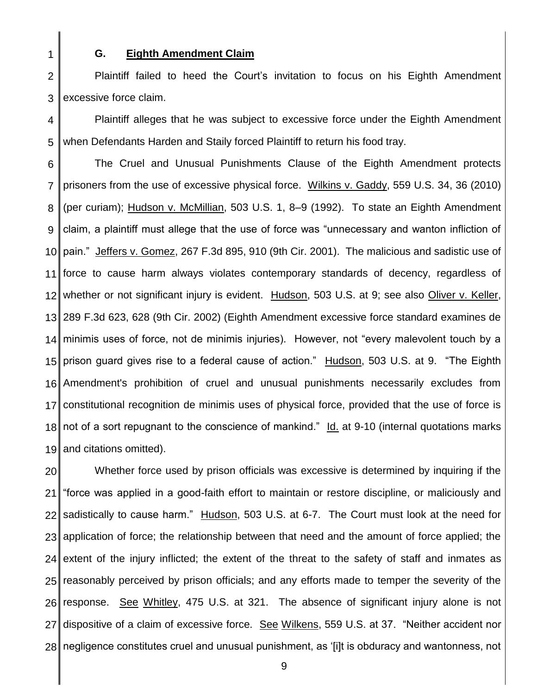1

#### **G. Eighth Amendment Claim**

2 3 Plaintiff failed to heed the Court's invitation to focus on his Eighth Amendment excessive force claim.

4 5 Plaintiff alleges that he was subject to excessive force under the Eighth Amendment when Defendants Harden and Staily forced Plaintiff to return his food tray.

6 7 8 9 10 11 12 13 14 15 16 17 18 19 The Cruel and Unusual Punishments Clause of the Eighth Amendment protects prisoners from the use of excessive physical force. Wilkins v. Gaddy, 559 U.S. 34, 36 (2010) (per curiam); Hudson v. McMillian, 503 U.S. 1, 8–9 (1992). To state an Eighth Amendment claim, a plaintiff must allege that the use of force was "unnecessary and wanton infliction of pain." Jeffers v. Gomez, 267 F.3d 895, 910 (9th Cir. 2001). The malicious and sadistic use of force to cause harm always violates contemporary standards of decency, regardless of whether or not significant injury is evident. Hudson, 503 U.S. at 9; see also Oliver v. Keller, 289 F.3d 623, 628 (9th Cir. 2002) (Eighth Amendment excessive force standard examines de minimis uses of force, not de minimis injuries). However, not "every malevolent touch by a prison guard gives rise to a federal cause of action." Hudson, 503 U.S. at 9. "The Eighth Amendment's prohibition of cruel and unusual punishments necessarily excludes from constitutional recognition de minimis uses of physical force, provided that the use of force is not of a sort repugnant to the conscience of mankind." Id. at 9-10 (internal quotations marks and citations omitted).

20 21 22 23 24 25 26 27 28 Whether force used by prison officials was excessive is determined by inquiring if the "force was applied in a good-faith effort to maintain or restore discipline, or maliciously and sadistically to cause harm." Hudson, 503 U.S. at 6-7. The Court must look at the need for application of force; the relationship between that need and the amount of force applied; the extent of the injury inflicted; the extent of the threat to the safety of staff and inmates as reasonably perceived by prison officials; and any efforts made to temper the severity of the response. See Whitley, 475 U.S. at 321. The absence of significant injury alone is not dispositive of a claim of excessive force. See Wilkens, 559 U.S. at 37. "Neither accident nor negligence constitutes cruel and unusual punishment, as '[i]t is obduracy and wantonness, not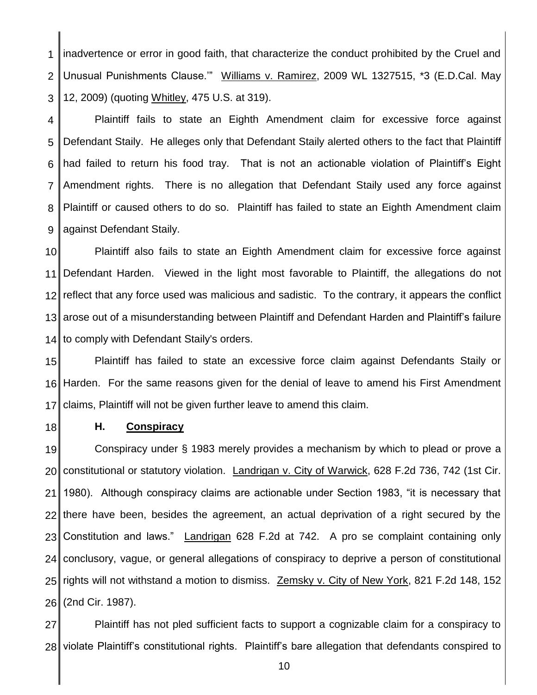1 2 3 inadvertence or error in good faith, that characterize the conduct prohibited by the Cruel and Unusual Punishments Clause." Williams v. Ramirez, 2009 WL 1327515, \*3 (E.D.Cal. May 12, 2009) (quoting Whitley, 475 U.S. at 319).

4 5 6 7 8 9 Plaintiff fails to state an Eighth Amendment claim for excessive force against Defendant Staily. He alleges only that Defendant Staily alerted others to the fact that Plaintiff had failed to return his food tray. That is not an actionable violation of Plaintiff's Eight Amendment rights. There is no allegation that Defendant Staily used any force against Plaintiff or caused others to do so. Plaintiff has failed to state an Eighth Amendment claim against Defendant Staily.

10 11 12 13 14 Plaintiff also fails to state an Eighth Amendment claim for excessive force against Defendant Harden. Viewed in the light most favorable to Plaintiff, the allegations do not reflect that any force used was malicious and sadistic. To the contrary, it appears the conflict arose out of a misunderstanding between Plaintiff and Defendant Harden and Plaintiff's failure to comply with Defendant Staily's orders.

15 16 17 Plaintiff has failed to state an excessive force claim against Defendants Staily or Harden. For the same reasons given for the denial of leave to amend his First Amendment claims, Plaintiff will not be given further leave to amend this claim.

18

#### **H. Conspiracy**

19 20 21 22 23 24 25 26 Conspiracy under § 1983 merely provides a mechanism by which to plead or prove a constitutional or statutory violation. Landrigan v. City of Warwick, 628 F.2d 736, 742 (1st Cir. 1980). Although conspiracy claims are actionable under Section 1983, "it is necessary that there have been, besides the agreement, an actual deprivation of a right secured by the Constitution and laws." Landrigan 628 F.2d at 742. A pro se complaint containing only conclusory, vague, or general allegations of conspiracy to deprive a person of constitutional rights will not withstand a motion to dismiss. Zemsky v. City of New York, 821 F.2d 148, 152 (2nd Cir. 1987).

27 28 Plaintiff has not pled sufficient facts to support a cognizable claim for a conspiracy to violate Plaintiff's constitutional rights. Plaintiff's bare allegation that defendants conspired to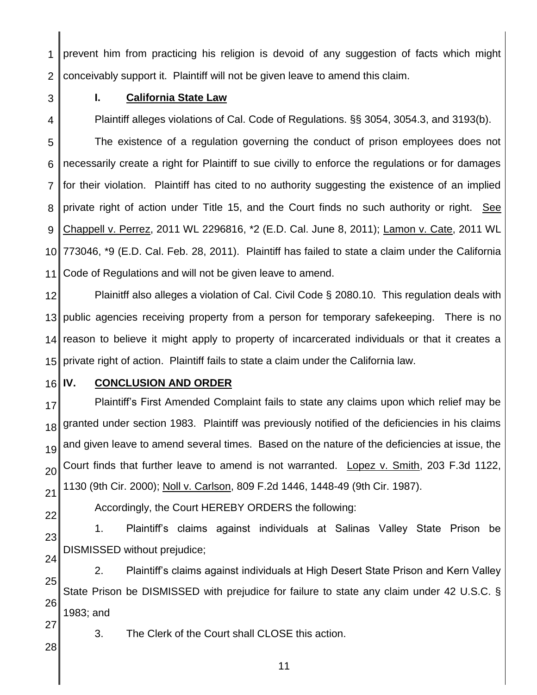1 2 prevent him from practicing his religion is devoid of any suggestion of facts which might conceivably support it. Plaintiff will not be given leave to amend this claim.

3

4

# **I. California State Law**

Plaintiff alleges violations of Cal. Code of Regulations. §§ 3054, 3054.3, and 3193(b).

5 6 7 8 9 10 11 The existence of a regulation governing the conduct of prison employees does not necessarily create a right for Plaintiff to sue civilly to enforce the regulations or for damages for their violation. Plaintiff has cited to no authority suggesting the existence of an implied private right of action under Title 15, and the Court finds no such authority or right. See Chappell v. Perrez, 2011 WL 2296816, \*2 (E.D. Cal. June 8, 2011); Lamon v. Cate, 2011 WL 773046, \*9 (E.D. Cal. Feb. 28, 2011). Plaintiff has failed to state a claim under the California Code of Regulations and will not be given leave to amend.

12 13 14 15 Plainitff also alleges a violation of Cal. Civil Code § 2080.10. This regulation deals with public agencies receiving property from a person for temporary safekeeping. There is no reason to believe it might apply to property of incarcerated individuals or that it creates a private right of action. Plaintiff fails to state a claim under the California law.

16

# **IV. CONCLUSION AND ORDER**

17 18 19 20 21 Plaintiff's First Amended Complaint fails to state any claims upon which relief may be granted under section 1983. Plaintiff was previously notified of the deficiencies in his claims and given leave to amend several times. Based on the nature of the deficiencies at issue, the Court finds that further leave to amend is not warranted. Lopez v. Smith, 203 F.3d 1122, 1130 (9th Cir. 2000); Noll v. Carlson, 809 F.2d 1446, 1448-49 (9th Cir. 1987).

22

Accordingly, the Court HEREBY ORDERS the following:

23 24 1. Plaintiff's claims against individuals at Salinas Valley State Prison be DISMISSED without prejudice;

25 26 2. Plaintiff's claims against individuals at High Desert State Prison and Kern Valley State Prison be DISMISSED with prejudice for failure to state any claim under 42 U.S.C. § 1983; and

3. The Clerk of the Court shall CLOSE this action.

28